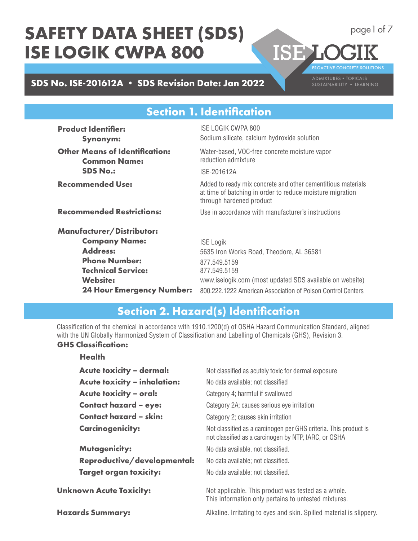# **SDS No. ISE-201612A • SDS Revision Date: Jan 2022**

PROACTIVE CONCRETE SOLUTIONS

**ISELC** 

page1 of 7

## **Section 1. Identification**

**Product Identifier: Synonym: Other Means of Identification: Common Name: SDS No.: Recommended Use: Recommended Restrictions: Manufacturer/Distributor: Company Name: Address: Phone Number: Technical Service: Website: 24 Hour Emergency Number:** ISE LOGIK CWPA 800 Sodium silicate, calcium hydroxide solution Water-based, VOC-free concrete moisture vapor reduction admixture ISE-201612A Added to ready mix concrete and other cementitious materials at time of batching in order to reduce moisture migration through hardened product Use in accordance with manufacturer's instructions ISE Logik 5635 Iron Works Road, Theodore, AL 36581 877.549.5159 877.549.5159 www.iselogik.com (most updated SDS available on website) 800.222.1222 American Association of Poison Control Centers

### **Section 2. Hazard(s) Identification**

Classification of the chemical in accordance with 1910.1200(d) of OSHA Hazard Communication Standard, aligned with the UN Globally Harmonized System of Classification and Labelling of Chemicals (GHS), Revision 3.

#### **GHS Classification: Health**

| <b>Acute toxicity - dermal:</b>     | Not classified as acutely toxic for dermal exposure                                                                      |
|-------------------------------------|--------------------------------------------------------------------------------------------------------------------------|
| <b>Acute toxicity - inhalation:</b> | No data available; not classified                                                                                        |
| <b>Acute toxicity - oral:</b>       | Category 4; harmful if swallowed                                                                                         |
| <b>Contact hazard - eye:</b>        | Category 2A; causes serious eye irritation                                                                               |
| <b>Contact hazard - skin:</b>       | Category 2; causes skin irritation                                                                                       |
| <b>Carcinogenicity:</b>             | Not classified as a carcinogen per GHS criteria. This product is<br>not classified as a carcinogen by NTP, IARC, or OSHA |
| <b>Mutagenicity:</b>                | No data available, not classified.                                                                                       |
| Reproductive/developmental:         | No data available; not classified.                                                                                       |
| <b>Target organ toxicity:</b>       | No data available; not classified.                                                                                       |
| <b>Unknown Acute Toxicity:</b>      | Not applicable. This product was tested as a whole.<br>This information only pertains to untested mixtures.              |
| <b>Hazards Summary:</b>             | Alkaline. Irritating to eyes and skin. Spilled material is slippery.                                                     |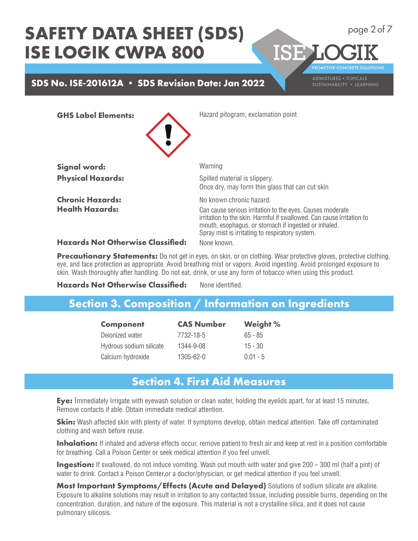## **SDS No. ISE-201612A • SDS Revision Date: Jan 2022** ADMIXTURES • TOPICALS

PROACTIVE CONCRETE SOLUTIONS

**ISEL** 

page 2 of 7

**GHS Label Elements:**



**Signal word: Physical Hazards:**

**Chronic Hazards: Health Hazards:**

Hazard pitogram; exclamation point

**Warning** Spilled material is slippery. Once dry, may form thin glass that can cut skin No known chronic hazard. Can cause serious irritation to the eyes. Causes moderate irritation to the skin. Harmful if swallowed. Can cause irritation to mouth, esophagus, or stomach if ingested or inhaled. Spray mist is irritating to respiratory system. None known.

**Hazards Not Otherwise Classified:**

**Precautionary Statements:** Do not get in eyes, on skin, or on clothing. Wear protective gloves, protective clothing, eye, and face protection as appropriate. Avoid breathing mist or vapors. Avoid ingesting. Avoid prolonged exposure to skin. Wash thoroughly after handling. Do not eat, drink, or use any form of tobacco when using this product.

#### **Hazards Not Otherwise Classified:** None identified.

### **Section 3. Composition / Information on Ingredients**

| <b>Component</b>        | <b>CAS Number</b> | <b>Weight %</b> |
|-------------------------|-------------------|-----------------|
| Deionized water         | 7732-18-5         | $65 - 85$       |
| Hydrous sodium silicate | 1344-9-08         | $15 - 30$       |
| Calcium hydroxide       | 1305-62-0         | $0.01 - 5$      |

## **Section 4. First Aid Measures**

**Eye:** Immediately Irrigate with eyewash solution or clean water, holding the eyelids apart, for at least 15 minutes. Remove contacts if able. Obtain immediate medical attention.

**Skin:** Wash affected skin with plenty of water. If symptoms develop, obtain medical attention. Take off contaminated clothing and wash before reuse.

**Inhalation:** If inhaled and adverse effects occur, remove patient to fresh air and keep at rest in a position comfortable for breathing. Call a Poison Center or seek medical attention if you feel unwell.

**Ingestion:** If swallowed, do not induce vomiting. Wash out mouth with water and give 200 – 300 ml (half a pint) of water to drink. Contact a Poison Center,or a doctor/physician, or get medical attention if you feel unwell.

**Most Important Symptoms/Effects (Acute and Delayed)** Solutions of sodium silicate are alkaline. Exposure to alkaline solutions may result in irritation to any contacted tissue, including possible burns, depending on the concentration, duration, and nature of the exposure. This material is not a crystalline silica, and it does not cause pulmonary silicosis.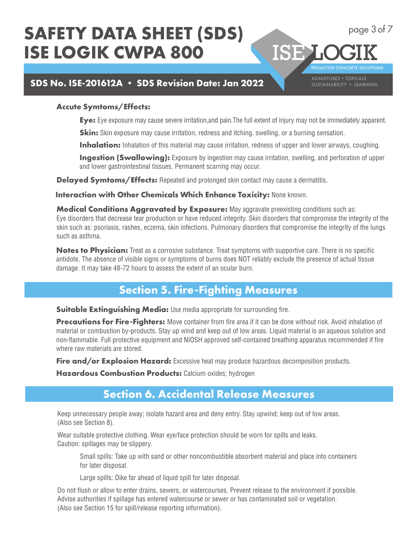## **SDS No. ISE-201612A • SDS Revision Date: Jan 2022** ADMIXTURES • TOPICALS

PROACTIVE CONCRETE SOLUTIONS

**ISEL** 

page 3 of 7

#### **Accute Symtoms/Effects:**

**Eye:** Eye exposure may cause severe irritation,and pain.The full extent of injury may not be immediately apparent.

**Skin:** Skin exposure may cause irritation, redness and itching, swelling, or a burning sensation.

**Inhalation:** Inhalation of this material may cause irritation, redness of upper and lower airways, coughing.

**Ingestion (Swallowing):** Exposure by ingestion may cause irritation, swelling, and perforation of upper and lower gastrointestinal tissues. Permanent scarring may occur.

Delayed Symtoms/Effects: Repeated and prolonged skin contact may cause a dermatitis.

**Interaction with Other Chemicals Which Enhance Toxicity:** None known.

**Medical Conditions Aggravated by Exposure:** May aggravate preexisting conditions such as: Eye disorders that decrease tear production or have reduced integrity. Skin disorders that compromise the integrity of the skin such as: psoriasis, rashes, eczema, skin infections. Pulmonary disorders that compromise the integrity of the lungs such as asthma.

**Notes to Physician:** Treat as a corrosive substance. Treat symptoms with supportive care. There is no specific antidote. The absence of visible signs or symptoms of burns does NOT reliably exclude the presence of actual tissue damage. It may take 48-72 hours to assess the extent of an ocular burn.

## **Section 5. Fire-Fighting Measures**

**Suitable Extinguishing Media:** Use media appropriate for surrounding fire.

**Precautions for Fire-Fighters:** Move container from fire area if it can be done without risk. Avoid inhalation of material or combustion by-products. Stay up wind and keep out of low areas. Liquid material is an aqueous solution and non-flammable. Full protective equipment and NIOSH approved self-contained breathing apparatus recommended if fire where raw materials are stored.

**Fire and/or Explosion Hazard:** Excessive heat may produce hazardous decomposition products.

**Hazardous Combustion Products:** Calcium oxides; hydrogen

### **Section 6. Accidental Release Measures**

Keep unnecessary people away; isolate hazard area and deny entry. Stay upwind; keep out of low areas. (Also see Section 8).

Wear suitable protective clothing. Wear eye/face protection should be worn for spills and leaks. Caution: spillages may be slippery.

 Small spills: Take up with sand or other noncombustible absorbent material and place into containers for later disposal.

Large spills: Dike far ahead of liquid spill for later disposal.

Do not flush or allow to enter drains, sewers, or watercourses. Prevent release to the environment if possible. Advise authorities if spillage has entered watercourse or sewer or has contaminated soil or vegetation. (Also see Section 15 for spill/release reporting information).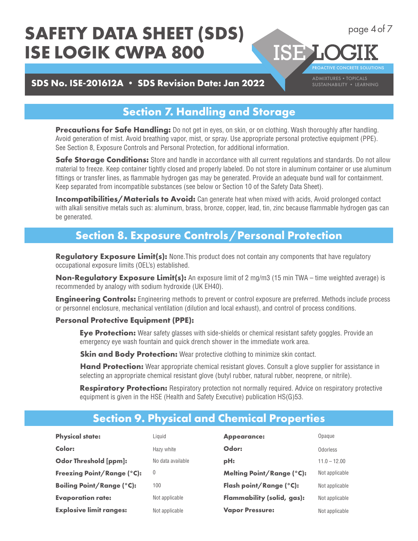## **SDS No. ISE-201612A • SDS Revision Date: Jan 2022 SUSTAINABILITY • LEARNING**

PROACTIVE CONCRETE SOLUTIONS

**ISE L** 

page 4 of 7

## **Section 7. Handling and Storage**

**Precautions for Safe Handling:** Do not get in eyes, on skin, or on clothing. Wash thoroughly after handling. Avoid generation of mist. Avoid breathing vapor, mist, or spray. Use appropriate personal protective equipment (PPE). See Section 8, Exposure Controls and Personal Protection, for additional information.

**Safe Storage Conditions:** Store and handle in accordance with all current regulations and standards. Do not allow material to freeze. Keep container tightly closed and properly labeled. Do not store in aluminum container or use aluminum fittings or transfer lines, as flammable hydrogen gas may be generated. Provide an adequate bund wall for containment. Keep separated from incompatible substances (see below or Section 10 of the Safety Data Sheet).

**Incompatibilities/Materials to Avoid:** Can generate heat when mixed with acids, Avoid prolonged contact with alkali sensitive metals such as: aluminum, brass, bronze, copper, lead, tin, zinc because flammable hydrogen gas can be generated.

### **Section 8. Exposure Controls / Personal Protection**

**Regulatory Exposure Limit(s):** None. This product does not contain any components that have regulatory occupational exposure limits (OEL's) established.

**Non-Regulatory Exposure Limit(s):** An exposure limit of 2 mg/m3 (15 min TWA – time weighted average) is recommended by analogy with sodium hydroxide (UK EH40).

**Engineering Controls:** Engineering methods to prevent or control exposure are preferred. Methods include process or personnel enclosure, mechanical ventilation (dilution and local exhaust), and control of process conditions.

#### **Personal Protective Equipment (PPE):**

**Eye Protection:** Wear safety glasses with side-shields or chemical resistant safety goggles. Provide an emergency eye wash fountain and quick drench shower in the immediate work area.

**Skin and Body Protection:** Wear protective clothing to minimize skin contact.

**Hand Protection:** Wear appropriate chemical resistant gloves. Consult a glove supplier for assistance in selecting an appropriate chemical resistant glove (butyl rubber, natural rubber, neoprene, or nitrile).

**Respiratory Protection:** Respiratory protection not normally required. Advice on respiratory protective equipment is given in the HSE (Health and Safety Executive) publication HS(G)53.

## **Section 9. Physical and Chemical Properties**

| <b>Physical state:</b>            | Liauid            | <b>Appearance:</b>               | Opaque         |
|-----------------------------------|-------------------|----------------------------------|----------------|
| Color:                            | Hazy white        | Odor:                            | Odorless       |
| <b>Odor Threshold [ppm]:</b>      | No data available | pH:                              | $11.0 - 12.00$ |
| <b>Freezing Point/Range (°C):</b> | $\theta$          | <b>Melting Point/Range (°C):</b> | Not applicable |
| <b>Boiling Point/Range (°C):</b>  | 100               | Flash point/Range (°C):          | Not applicable |
| <b>Evaporation rate:</b>          | Not applicable    | Flammability (solid, gas):       | Not applicable |
| <b>Explosive limit ranges:</b>    | Not applicable    | <b>Vapor Pressure:</b>           | Not applicable |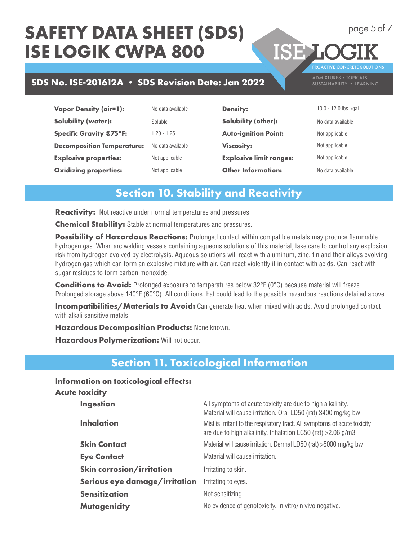# **SDS No. ISE-201612A • SDS Revision Date: Jan 2022** ADMIXTURES • TOPICALS

**Vapor Density (air=1): Solubility (water): Specific Gravity @75°F: Decomposition Temperature: Explosive properties: Oxidizing properties:** No data available

Soluble 1.20 - 1.25 No data available Not applicable Not applicable

**Density: Solubility (other): Auto-ignition Point: Viscosity: Explosive limit ranges: Other Information:**

10.0 - 12.0 lbs. /gal No data available Not applicable

PROACTIVE CONCRETE SOLUTIONS

Not applicable

ISE LO

Not applicable

No data available

## **Section 10. Stability and Reactivity**

**Reactivity:** Not reactive under normal temperatures and pressures.

**Chemical Stability:** Stable at normal temperatures and pressures.

**Possibility of Hazardous Reactions:** Prolonged contact within compatible metals may produce flammable hydrogen gas. When arc welding vessels containing aqueous solutions of this material, take care to control any explosion risk from hydrogen evolved by electrolysis. Aqueous solutions will react with aluminum, zinc, tin and their alloys evolving hydrogen gas which can form an explosive mixture with air. Can react violently if in contact with acids. Can react with sugar residues to form carbon monoxide.

**Conditions to Avoid:** Prolonged exposure to temperatures below 32°F (0°C) because material will freeze. Prolonged storage above 140°F (60°C). All conditions that could lead to the possible hazardous reactions detailed above.

**Incompatibilities/Materials to Avoid:** Can generate heat when mixed with acids. Avoid prolonged contact with alkali sensitive metals.

**Hazardous Decomposition Products:** None known.

**Hazardous Polymerization: Will not occur.** 

## **Section 11. Toxicological Information**

#### **Information on toxicological effects:**

| <b>Acute toxicity</b>            |                               |                                                                                                                                            |
|----------------------------------|-------------------------------|--------------------------------------------------------------------------------------------------------------------------------------------|
| <b>Ingestion</b>                 |                               | All symptoms of acute toxicity are due to high alkalinity.<br>Material will cause irritation. Oral LD50 (rat) 3400 mg/kg bw                |
| <b>Inhalation</b>                |                               | Mist is irritant to the respiratory tract. All symptoms of acute toxicity<br>are due to high alkalinity. Inhalation LC50 (rat) > 2.06 g/m3 |
| <b>Skin Contact</b>              |                               | Material will cause irritation. Dermal LD50 (rat) >5000 mg/kg bw                                                                           |
| <b>Eye Contact</b>               |                               | Material will cause irritation.                                                                                                            |
| <b>Skin corrosion/irritation</b> |                               | Irritating to skin.                                                                                                                        |
|                                  | Serious eye damage/irritation | Irritating to eyes.                                                                                                                        |
| <b>Sensitization</b>             |                               | Not sensitizing.                                                                                                                           |
| <b>Mutagenicity</b>              |                               | No evidence of genotoxicity. In vitro/in vivo negative.                                                                                    |
|                                  |                               |                                                                                                                                            |

page 5 of 7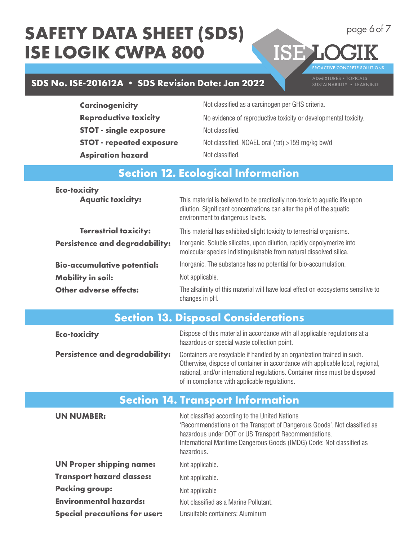# **SDS No. ISE-201612A • SDS Revision Date: Jan 2022** ADMIXTURES • TOPICALS

PROACTIVE CONCRETE SOLUTIONS

ISE LOC

page 6 of 7

| <b>Carcinogenicity</b>          | Not classified as a carcinogen per GHS criteria.                |
|---------------------------------|-----------------------------------------------------------------|
| <b>Reproductive toxicity</b>    | No evidence of reproductive toxicity or developmental toxicity. |
| <b>STOT - single exposure</b>   | Not classified.                                                 |
| <b>STOT - repeated exposure</b> | Not classified. NOAEL oral (rat) >159 mg/kg bw/d                |
| <b>Aspiration hazard</b>        | Not classified.                                                 |
|                                 |                                                                 |

# **Section 12. Ecological Information**

| <b>Eco-toxicity</b>                   |                                                                                                                                                                                        |
|---------------------------------------|----------------------------------------------------------------------------------------------------------------------------------------------------------------------------------------|
| <b>Aquatic toxicity:</b>              | This material is believed to be practically non-toxic to aquatic life upon<br>dilution. Significant concentrations can alter the pH of the aquatic<br>environment to dangerous levels. |
| <b>Terrestrial toxicity:</b>          | This material has exhibited slight toxicity to terrestrial organisms.                                                                                                                  |
| <b>Persistence and degradability:</b> | Inorganic. Soluble silicates, upon dilution, rapidly depolymerize into<br>molecular species indistinguishable from natural dissolved silica.                                           |
| <b>Bio-accumulative potential:</b>    | Inorganic. The substance has no potential for bio-accumulation.                                                                                                                        |
| <b>Mobility in soil:</b>              | Not applicable.                                                                                                                                                                        |
| <b>Other adverse effects:</b>         | The alkalinity of this material will have local effect on ecosystems sensitive to<br>changes in pH.                                                                                    |

|  |  | <b>Section 13. Disposal Considerations</b> |
|--|--|--------------------------------------------|
|  |  |                                            |

| <b>Eco-toxicity</b>                   | Dispose of this material in accordance with all applicable regulations at a<br>hazardous or special waste collection point.                                                                                                                                                                 |
|---------------------------------------|---------------------------------------------------------------------------------------------------------------------------------------------------------------------------------------------------------------------------------------------------------------------------------------------|
| <b>Persistence and degradability:</b> | Containers are recyclable if handled by an organization trained in such.<br>Otherwise, dispose of container in accordance with applicable local, regional,<br>national, and/or international regulations. Container rinse must be disposed<br>of in compliance with applicable regulations. |

## **Section 14. Transport Information**

| <b>UN NUMBER:</b>                    | Not classified according to the United Nations<br>'Recommendations on the Transport of Dangerous Goods'. Not classified as<br>hazardous under DOT or US Transport Recommendations.<br>International Maritime Dangerous Goods (IMDG) Code: Not classified as<br>hazardous. |
|--------------------------------------|---------------------------------------------------------------------------------------------------------------------------------------------------------------------------------------------------------------------------------------------------------------------------|
| <b>UN Proper shipping name:</b>      | Not applicable.                                                                                                                                                                                                                                                           |
| <b>Transport hazard classes:</b>     | Not applicable.                                                                                                                                                                                                                                                           |
| <b>Packing group:</b>                | Not applicable                                                                                                                                                                                                                                                            |
| <b>Environmental hazards:</b>        | Not classified as a Marine Pollutant.                                                                                                                                                                                                                                     |
| <b>Special precautions for user:</b> | Unsuitable containers: Aluminum                                                                                                                                                                                                                                           |